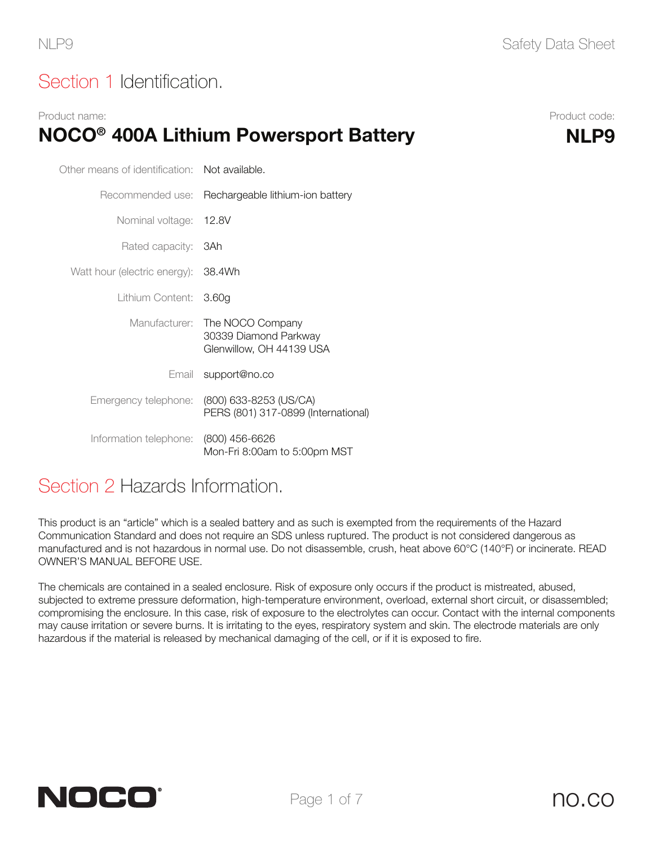## Section 1 Identification.

#### Product name: Product code: NOCO<sup>®</sup> 400A Lithium Powersport Battery MLP9

| Other means of identification: Not available. |                                                                       |  |
|-----------------------------------------------|-----------------------------------------------------------------------|--|
|                                               | Recommended use: Rechargeable lithium-ion battery                     |  |
| Nominal voltage: 12.8V                        |                                                                       |  |
| Rated capacity: <b>3Ah</b>                    |                                                                       |  |
| Watt hour (electric energy): 38.4Wh           |                                                                       |  |
| Lithium Content:                              | 3.60 <sub>g</sub>                                                     |  |
| Manufacturer:                                 | The NOCO Company<br>30339 Diamond Parkway<br>Glenwillow, OH 44139 USA |  |
|                                               | Email support@no.co                                                   |  |
| Emergency telephone:                          | (800) 633-8253 (US/CA)<br>PERS (801) 317-0899 (International)         |  |
| Information telephone:                        | $(800)$ 456-6626<br>Mon-Fri 8:00am to 5:00pm MST                      |  |

#### Section 2 Hazards Information.

This product is an "article" which is a sealed battery and as such is exempted from the requirements of the Hazard Communication Standard and does not require an SDS unless ruptured. The product is not considered dangerous as manufactured and is not hazardous in normal use. Do not disassemble, crush, heat above 60°C (140°F) or incinerate. READ OWNER'S MANUAL BEFORE USE.

The chemicals are contained in a sealed enclosure. Risk of exposure only occurs if the product is mistreated, abused, subjected to extreme pressure deformation, high-temperature environment, overload, external short circuit, or disassembled; compromising the enclosure. In this case, risk of exposure to the electrolytes can occur. Contact with the internal components may cause irritation or severe burns. It is irritating to the eyes, respiratory system and skin. The electrode materials are only hazardous if the material is released by mechanical damaging of the cell, or if it is exposed to fire.

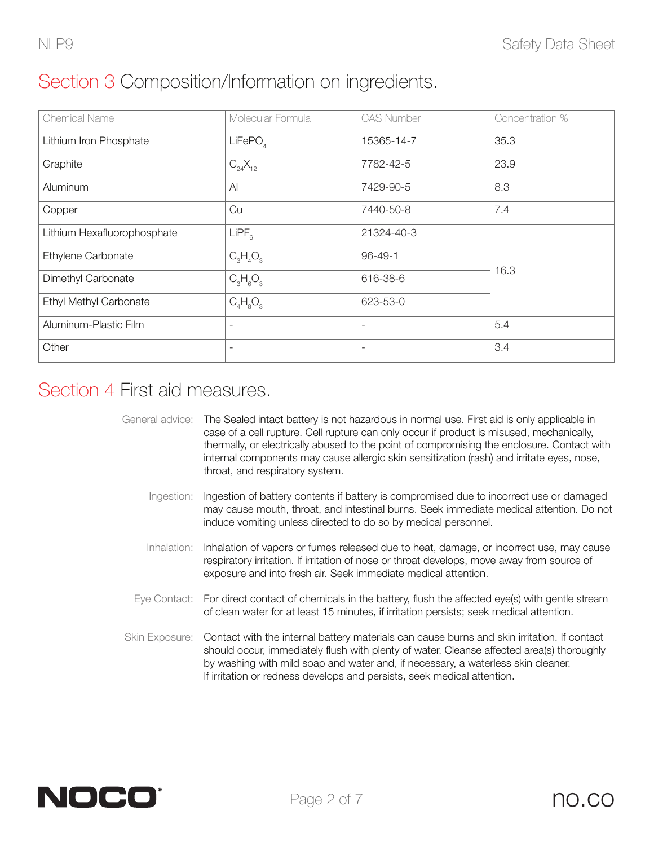## Section 3 Composition/Information on ingredients.

| <b>Chemical Name</b>        | Molecular Formula   | <b>CAS Number</b>        | Concentration % |
|-----------------------------|---------------------|--------------------------|-----------------|
| Lithium Iron Phosphate      | LiFePO <sub>A</sub> | 15365-14-7               | 35.3            |
| Graphite                    | $C_{24}X_{12}$      | 7782-42-5                | 23.9            |
| Aluminum                    | Al                  | 7429-90-5                | 8.3             |
| Copper                      | Cu                  | 7440-50-8                | 7.4             |
| Lithium Hexafluorophosphate | LIPF <sub>6</sub>   | 21324-40-3               |                 |
| Ethylene Carbonate          | $C_3H_4O_3$         | $96 - 49 - 1$            |                 |
| Dimethyl Carbonate          | $C_3H_6O_3$         | 616-38-6                 | 16.3            |
| Ethyl Methyl Carbonate      | $C_4H_8O_3$         | 623-53-0                 |                 |
| Aluminum-Plastic Film       | ۰                   | $\overline{\phantom{a}}$ | 5.4             |
| Other                       |                     | $\overline{\phantom{a}}$ | 3.4             |

## Section 4 First aid measures.

|                                                                                            | General advice: The Sealed intact battery is not hazardous in normal use. First aid is only applicable in |  |  |
|--------------------------------------------------------------------------------------------|-----------------------------------------------------------------------------------------------------------|--|--|
|                                                                                            | case of a cell rupture. Cell rupture can only occur if product is misused, mechanically,                  |  |  |
| thermally, or electrically abused to the point of compromising the enclosure. Contact with |                                                                                                           |  |  |
|                                                                                            | internal components may cause allergic skin sensitization (rash) and irritate eyes, nose,                 |  |  |
|                                                                                            | throat, and respiratory system.                                                                           |  |  |

- Ingestion: Ingestion of battery contents if battery is compromised due to incorrect use or damaged may cause mouth, throat, and intestinal burns. Seek immediate medical attention. Do not induce vomiting unless directed to do so by medical personnel.
- Inhalation: Inhalation of vapors or fumes released due to heat, damage, or incorrect use, may cause respiratory irritation. If irritation of nose or throat develops, move away from source of exposure and into fresh air. Seek immediate medical attention.
- Eye Contact: For direct contact of chemicals in the battery, flush the affected eye(s) with gentle stream of clean water for at least 15 minutes, if irritation persists; seek medical attention.
- Skin Exposure: Contact with the internal battery materials can cause burns and skin irritation. If contact should occur, immediately flush with plenty of water. Cleanse affected area(s) thoroughly by washing with mild soap and water and, if necessary, a waterless skin cleaner. If irritation or redness develops and persists, seek medical attention.

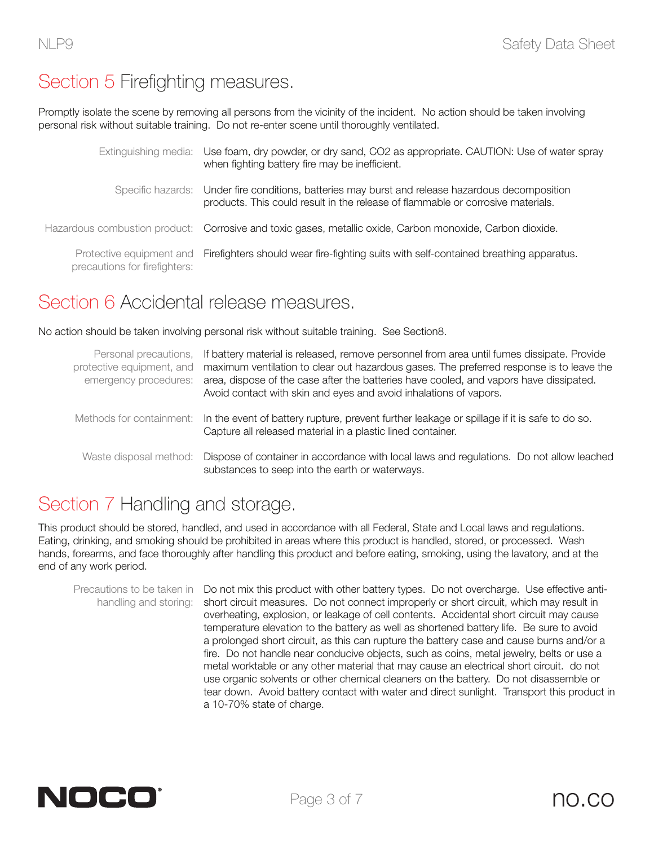## Section 5 Firefighting measures.

Promptly isolate the scene by removing all persons from the vicinity of the incident. No action should be taken involving personal risk without suitable training. Do not re-enter scene until thoroughly ventilated.

|                               | Extinguishing media: Use foam, dry powder, or dry sand, CO2 as appropriate. CAUTION: Use of water spray<br>when fighting battery fire may be inefficient.                           |
|-------------------------------|-------------------------------------------------------------------------------------------------------------------------------------------------------------------------------------|
|                               | Specific hazards: Under fire conditions, batteries may burst and release hazardous decomposition<br>products. This could result in the release of flammable or corrosive materials. |
|                               | Hazardous combustion product: Corrosive and toxic gases, metallic oxide, Carbon monoxide, Carbon dioxide.                                                                           |
| precautions for firefighters: | Protective equipment and Firefighters should wear fire-fighting suits with self-contained breathing apparatus.                                                                      |

#### Section 6 Accidental release measures.

No action should be taken involving personal risk without suitable training. See Section8.

| protective equipment, and<br>emergency procedures: | Personal precautions, If battery material is released, remove personnel from area until fumes dissipate. Provide<br>maximum ventilation to clear out hazardous gases. The preferred response is to leave the<br>area, dispose of the case after the batteries have cooled, and vapors have dissipated.<br>Avoid contact with skin and eyes and avoid inhalations of vapors. |  |  |
|----------------------------------------------------|-----------------------------------------------------------------------------------------------------------------------------------------------------------------------------------------------------------------------------------------------------------------------------------------------------------------------------------------------------------------------------|--|--|
|                                                    | Methods for containment: In the event of battery rupture, prevent further leakage or spillage if it is safe to do so.<br>Capture all released material in a plastic lined container.                                                                                                                                                                                        |  |  |
|                                                    | Waste disposal method: Dispose of container in accordance with local laws and regulations. Do not allow leached<br>substances to seep into the earth or waterways.                                                                                                                                                                                                          |  |  |

## Section 7 Handling and storage.

This product should be stored, handled, and used in accordance with all Federal, State and Local laws and regulations. Eating, drinking, and smoking should be prohibited in areas where this product is handled, stored, or processed. Wash hands, forearms, and face thoroughly after handling this product and before eating, smoking, using the lavatory, and at the end of any work period.

Precautions to be taken in Do not mix this product with other battery types. Do not overcharge. Use effective antihandling and storing: short circuit measures. Do not connect improperly or short circuit, which may result in overheating, explosion, or leakage of cell contents. Accidental short circuit may cause temperature elevation to the battery as well as shortened battery life. Be sure to avoid a prolonged short circuit, as this can rupture the battery case and cause burns and/or a fire. Do not handle near conducive objects, such as coins, metal jewelry, belts or use a metal worktable or any other material that may cause an electrical short circuit. do not use organic solvents or other chemical cleaners on the battery. Do not disassemble or tear down. Avoid battery contact with water and direct sunlight. Transport this product in a 10-70% state of charge.

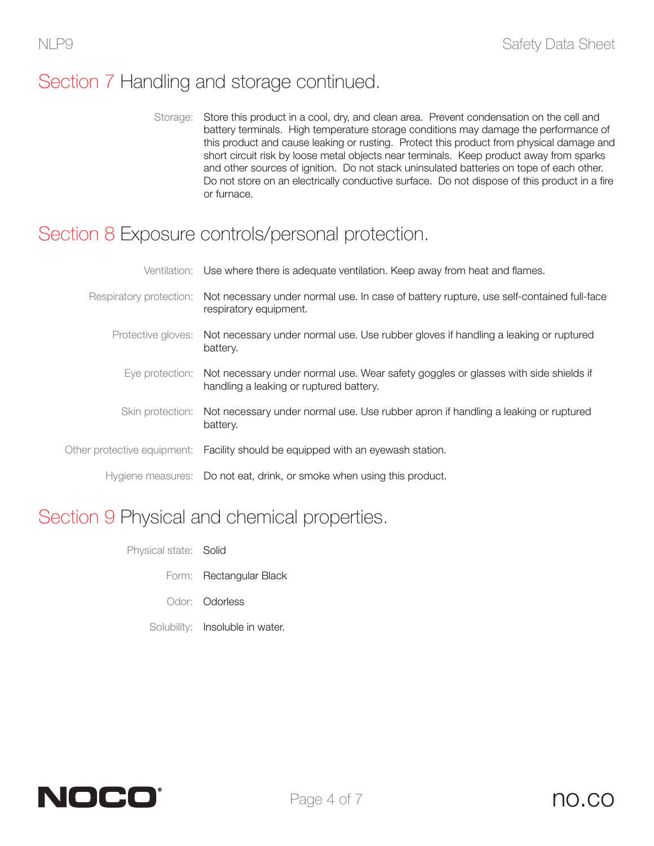## Section 7 Handling and storage continued.

Storage: Store this product in a cool, dry, and clean area. Prevent condensation on the cell and battery terminals. High temperature storage conditions may damage the performance of this product and cause leaking or rusting. Protect this product from physical damage and short circuit risk by loose metal objects near terminals. Keep product away from sparks and other sources of ignition. Do not stack uninsulated batteries on tope of each other. Do not store on an electrically conductive surface. Do not dispose of this product in a fire or furnace.

#### Section 8 Exposure controls/personal protection.

|                  | Ventilation: Use where there is adequate ventilation. Keep away from heat and flames.                                                          |
|------------------|------------------------------------------------------------------------------------------------------------------------------------------------|
|                  | Respiratory protection: Not necessary under normal use. In case of battery rupture, use self-contained full-face<br>respiratory equipment.     |
|                  | Protective gloves: Not necessary under normal use. Use rubber gloves if handling a leaking or ruptured<br>battery.                             |
|                  | Eye protection: Not necessary under normal use. Wear safety goggles or glasses with side shields if<br>handling a leaking or ruptured battery. |
| Skin protection: | Not necessary under normal use. Use rubber apron if handling a leaking or ruptured<br>battery.                                                 |
|                  | Other protective equipment: Facility should be equipped with an eyewash station.                                                               |
|                  | Hygiene measures: Do not eat, drink, or smoke when using this product.                                                                         |

## Section 9 Physical and chemical properties.

- Physical state: Solid
	- Form: Rectangular Black
	- Odor: Odorless
	- Solubility: Insoluble in water.

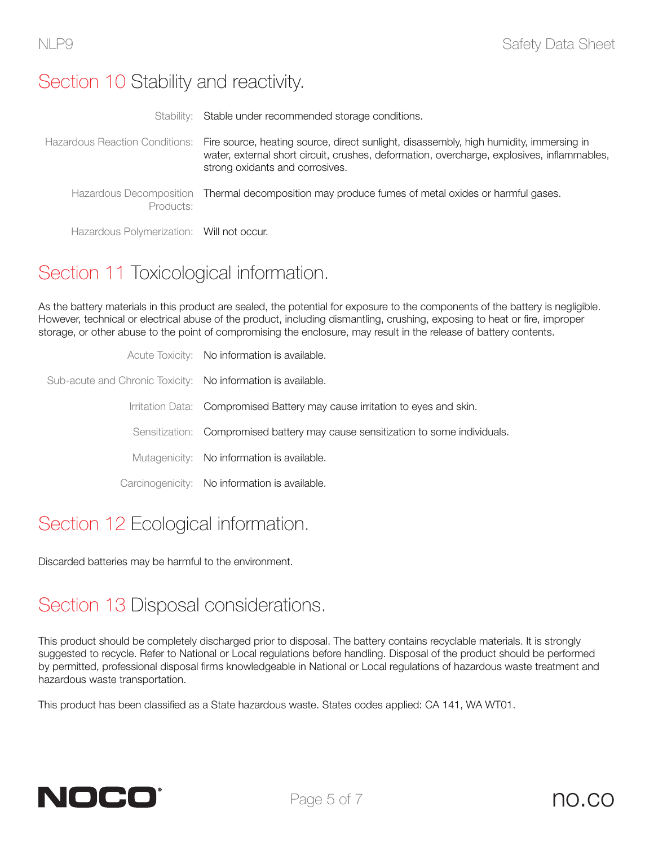#### Section 10 Stability and reactivity.

|                                           | Stability: Stable under recommended storage conditions.                                                                                                                                                                                                |
|-------------------------------------------|--------------------------------------------------------------------------------------------------------------------------------------------------------------------------------------------------------------------------------------------------------|
|                                           | Hazardous Reaction Conditions: Fire source, heating source, direct sunlight, disassembly, high humidity, immersing in<br>water, external short circuit, crushes, deformation, overcharge, explosives, inflammables,<br>strong oxidants and corrosives. |
| Products:                                 | Hazardous Decomposition Thermal decomposition may produce fumes of metal oxides or harmful gases.                                                                                                                                                      |
| Hazardous Polymerization: Will not occur. |                                                                                                                                                                                                                                                        |

# Section 11 Toxicological information.

As the battery materials in this product are sealed, the potential for exposure to the components of the battery is negligible. However, technical or electrical abuse of the product, including dismantling, crushing, exposing to heat or fire, improper storage, or other abuse to the point of compromising the enclosure, may result in the release of battery contents.

|                                                              | Acute Toxicity: No information is available.                                    |
|--------------------------------------------------------------|---------------------------------------------------------------------------------|
| Sub-acute and Chronic Toxicity: No information is available. |                                                                                 |
|                                                              | Irritation Data: Compromised Battery may cause irritation to eyes and skin.     |
|                                                              | Sensitization: Compromised battery may cause sensitization to some individuals. |
|                                                              | Mutagenicity: No information is available.                                      |
|                                                              | Carcinogenicity: No information is available.                                   |
|                                                              |                                                                                 |

# Section 12 Ecological information.

Discarded batteries may be harmful to the environment.

## Section 13 Disposal considerations.

This product should be completely discharged prior to disposal. The battery contains recyclable materials. It is strongly suggested to recycle. Refer to National or Local regulations before handling. Disposal of the product should be performed by permitted, professional disposal firms knowledgeable in National or Local regulations of hazardous waste treatment and hazardous waste transportation.

This product has been classified as a State hazardous waste. States codes applied: CA 141, WA WT01.

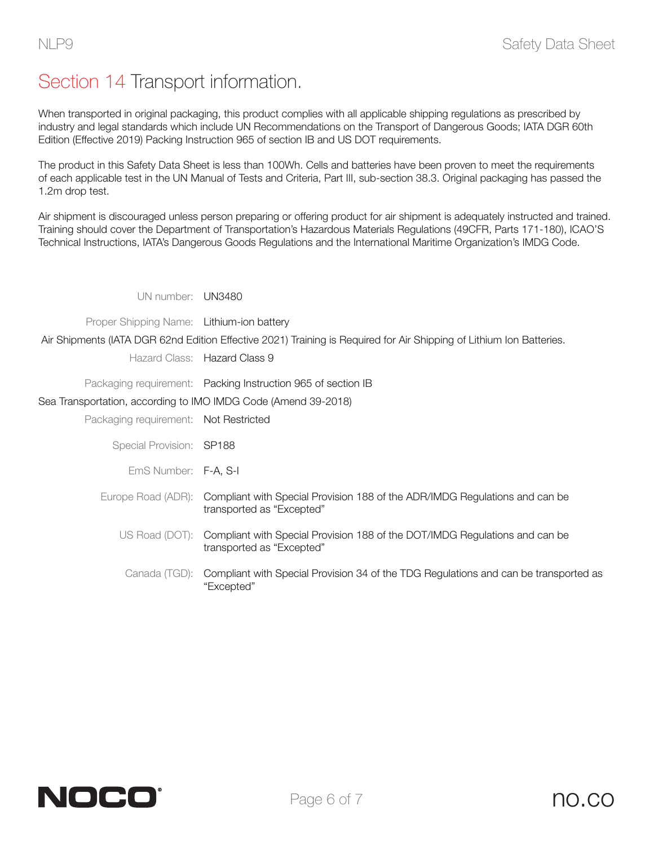# Section 14 Transport information.

When transported in original packaging, this product complies with all applicable shipping regulations as prescribed by industry and legal standards which include UN Recommendations on the Transport of Dangerous Goods; IATA DGR 60th Edition (Effective 2019) Packing Instruction 965 of section IB and US DOT requirements.

The product in this Safety Data Sheet is less than 100Wh. Cells and batteries have been proven to meet the requirements of each applicable test in the UN Manual of Tests and Criteria, Part III, sub-section 38.3. Original packaging has passed the 1.2m drop test.

Air shipment is discouraged unless person preparing or offering product for air shipment is adequately instructed and trained. Training should cover the Department of Transportation's Hazardous Materials Regulations (49CFR, Parts 171-180), ICAO'S Technical Instructions, IATA's Dangerous Goods Regulations and the International Maritime Organization's IMDG Code.

UN number: UN3480

Proper Shipping Name: Lithium-ion battery

Air Shipments (IATA DGR 62nd Edition Effective 2021) Training is Required for Air Shipping of Lithium Ion Batteries.

Hazard Class: Hazard Class 9

Packaging requirement: Packing Instruction 965 of section IB

Sea Transportation, according to IMO IMDG Code (Amend 39-2018)

Packaging requirement: Not Restricted

Special Provision: SP188

EmS Number: F-A, S-I

- Europe Road (ADR): Compliant with Special Provision 188 of the ADR/IMDG Regulations and can be transported as "Excepted"
	- US Road (DOT): Compliant with Special Provision 188 of the DOT/IMDG Regulations and can be transported as "Excepted"
		- Canada (TGD): Compliant with Special Provision 34 of the TDG Regulations and can be transported as "Excepted"